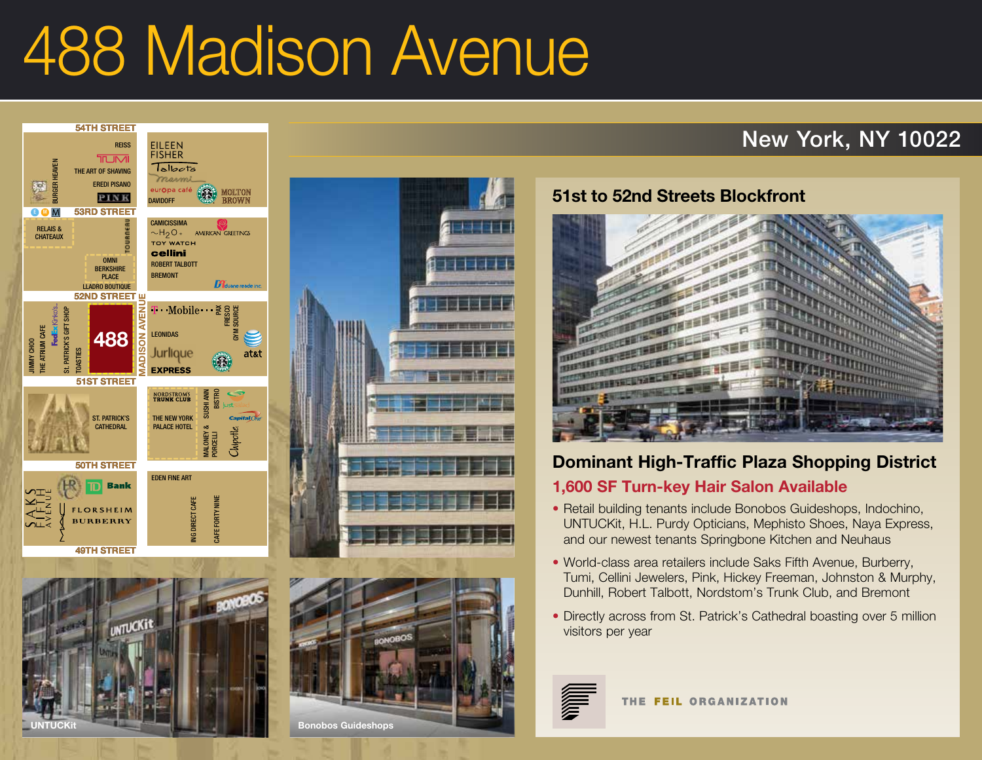## 488 Madison Avenue **55TH STREET** IVI

# New York, NY 10022



**48TH STREET**





#### **51st to 52nd Streets Blockfront**



### **Dominant High-Traffic Plaza Shopping District**

#### **1,600 SF Turn-key Hair Salon Available**

- Retail building tenants include Bonobos Guideshops, Indochino, UNTUCKit, H.L. Purdy Opticians, Mephisto Shoes, Naya Express, and our newest tenants Springbone Kitchen and Neuhaus
- World-class area retailers include Saks Fifth Avenue, Burberry, Tumi, Cellini Jewelers, Pink, Hickey Freeman, Johnston & Murphy, Dunhill, Robert Talbott, Nordstom's Trunk Club, and Bremont
- Directly across from St. Patrick's Cathedral boasting over 5 million visitors per year



THE FEIL ORGANIZATION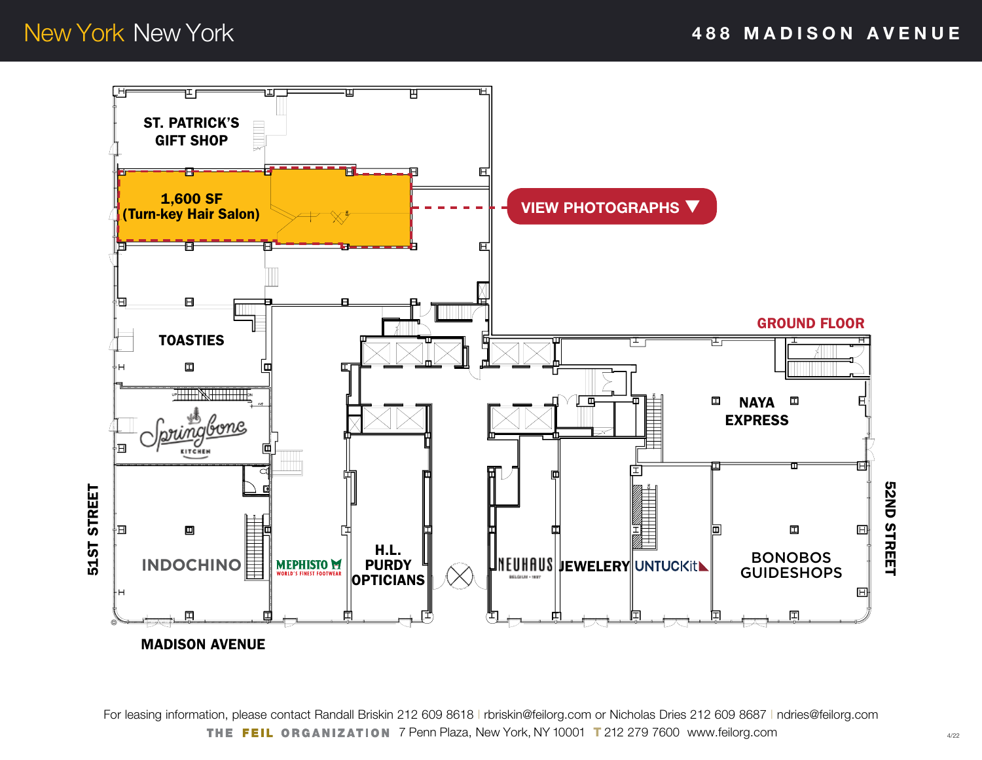<span id="page-1-0"></span>New York New York **488 MADISON AVENUE**



For leasing information, please contact Randall Briskin 212 609 8618 | [rbriskin@feilorg.com](mailto:rbriskin%40feilorg.com?subject=488%20Madison%20Avenue%20-%20Retail) or Nicholas Dries 212 609 8687 | ndries[@feilorg.com](mailto:ndries%40feilorg.com?subject=488%20Madison%20Avenue%20%20-%20Retail) THE FEIL ORGANIZATION 7 Penn Plaza, New York, NY 10001 T 212 279 7600 www.feilorg.com